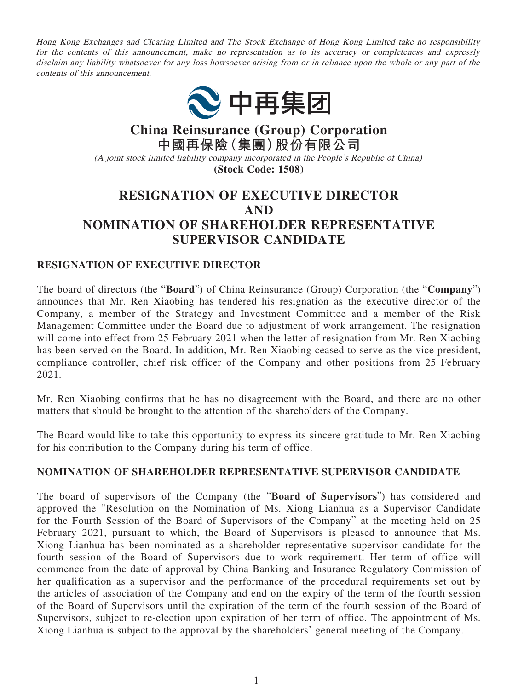Hong Kong Exchanges and Clearing Limited and The Stock Exchange of Hong Kong Limited take no responsibility for the contents of this announcement, make no representation as to its accuracy or completeness and expressly disclaim any liability whatsoever for any loss howsoever arising from or in reliance upon the whole or any part of the contents of this announcement.



**China Reinsurance (Group) Corporation 中國再保險(集團)股份有限公司** (A joint stock limited liability company incorporated in the People's Republic of China) **(Stock Code: 1508)**

## **RESIGNATION OF EXECUTIVE DIRECTOR AND NOMINATION OF SHAREHOLDER REPRESENTATIVE SUPERVISOR CANDIDATE**

## **RESIGNATION OF EXECUTIVE DIRECTOR**

The board of directors (the "**Board**") of China Reinsurance (Group) Corporation (the "**Company**") announces that Mr. Ren Xiaobing has tendered his resignation as the executive director of the Company, a member of the Strategy and Investment Committee and a member of the Risk Management Committee under the Board due to adjustment of work arrangement. The resignation will come into effect from 25 February 2021 when the letter of resignation from Mr. Ren Xiaobing has been served on the Board. In addition, Mr. Ren Xiaobing ceased to serve as the vice president, compliance controller, chief risk officer of the Company and other positions from 25 February 2021.

Mr. Ren Xiaobing confirms that he has no disagreement with the Board, and there are no other matters that should be brought to the attention of the shareholders of the Company.

The Board would like to take this opportunity to express its sincere gratitude to Mr. Ren Xiaobing for his contribution to the Company during his term of office.

## **NOMINATION OF SHAREHOLDER REPRESENTATIVE SUPERVISOR CANDIDATE**

The board of supervisors of the Company (the "**Board of Supervisors**") has considered and approved the "Resolution on the Nomination of Ms. Xiong Lianhua as a Supervisor Candidate for the Fourth Session of the Board of Supervisors of the Company" at the meeting held on 25 February 2021, pursuant to which, the Board of Supervisors is pleased to announce that Ms. Xiong Lianhua has been nominated as a shareholder representative supervisor candidate for the fourth session of the Board of Supervisors due to work requirement. Her term of office will commence from the date of approval by China Banking and Insurance Regulatory Commission of her qualification as a supervisor and the performance of the procedural requirements set out by the articles of association of the Company and end on the expiry of the term of the fourth session of the Board of Supervisors until the expiration of the term of the fourth session of the Board of Supervisors, subject to re-election upon expiration of her term of office. The appointment of Ms. Xiong Lianhua is subject to the approval by the shareholders' general meeting of the Company.